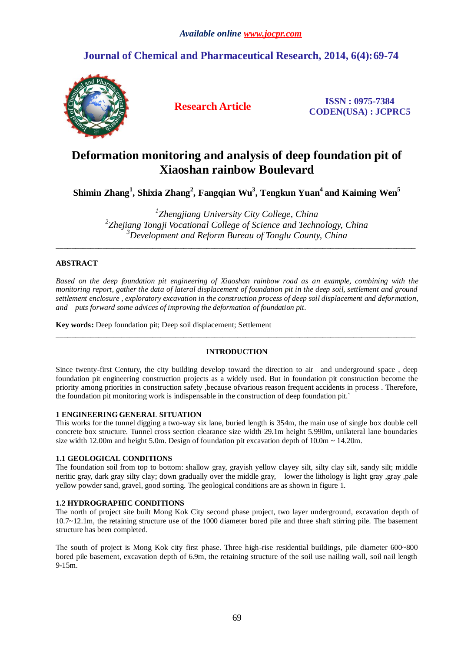# **Journal of Chemical and Pharmaceutical Research, 2014, 6(4):69-74**



**Research Article ISSN : 0975-7384 CODEN(USA) : JCPRC5**

# **Deformation monitoring and analysis of deep foundation pit of Xiaoshan rainbow Boulevard**

**Shimin Zhang<sup>1</sup> , Shixia Zhang<sup>2</sup> , Fangqian Wu<sup>3</sup> , Tengkun Yuan<sup>4</sup> and Kaiming Wen<sup>5</sup>**

*1 Zhengjiang University City College, China 2 Zhejiang Tongji Vocational College of Science and Technology, China <sup>3</sup>Development and Reform Bureau of Tonglu County, China*

\_\_\_\_\_\_\_\_\_\_\_\_\_\_\_\_\_\_\_\_\_\_\_\_\_\_\_\_\_\_\_\_\_\_\_\_\_\_\_\_\_\_\_\_\_\_\_\_\_\_\_\_\_\_\_\_\_\_\_\_\_\_\_\_\_\_\_\_\_\_\_\_\_\_\_\_\_\_\_\_\_\_\_\_\_\_\_\_\_\_\_\_\_

## **ABSTRACT**

*Based on the deep foundation pit engineering of Xiaoshan rainbow road as an example, combining with the monitoring report, gather the data of lateral displacement of foundation pit in the deep soil, settlement and ground settlement enclosure , exploratory excavation in the construction process of deep soil displacement and deformation, and puts forward some advices of improving the deformation of foundation pit.*

**Key words:** Deep foundation pit; Deep soil displacement; Settlement

## **INTRODUCTION**

\_\_\_\_\_\_\_\_\_\_\_\_\_\_\_\_\_\_\_\_\_\_\_\_\_\_\_\_\_\_\_\_\_\_\_\_\_\_\_\_\_\_\_\_\_\_\_\_\_\_\_\_\_\_\_\_\_\_\_\_\_\_\_\_\_\_\_\_\_\_\_\_\_\_\_\_\_\_\_\_\_\_\_\_\_\_\_\_\_\_\_\_\_

Since twenty-first Century, the city building develop toward the direction to air and underground space , deep foundation pit engineering construction projects as a widely used. But in foundation pit construction become the priority among priorities in construction safety ,because ofvarious reason frequent accidents in process . Therefore, the foundation pit monitoring work is indispensable in the construction of deep foundation pit.`

## **1 ENGINEERING GENERAL SITUATION**

This works for the tunnel digging a two-way six lane, buried length is 354m, the main use of single box double cell concrete box structure. Tunnel cross section clearance size width 29.1m height 5.990m, unilateral lane boundaries size width 12.00m and height 5.0m. Design of foundation pit excavation depth of  $10.0m \sim 14.20m$ .

## **1.1 GEOLOGICAL CONDITIONS**

The foundation soil from top to bottom: shallow gray, grayish yellow clayey silt, silty clay silt, sandy silt; middle neritic gray, dark gray silty clay; down gradually over the middle gray, lower the lithology is light gray ,gray ,pale yellow powder sand, gravel, good sorting. The geological conditions are as shown in figure 1.

## **1.2 HYDROGRAPHIC CONDITIONS**

The north of project site built Mong Kok City second phase project, two layer underground, excavation depth of 10.7~12.1m, the retaining structure use of the 1000 diameter bored pile and three shaft stirring pile. The basement structure has been completed.

The south of project is Mong Kok city first phase. Three high-rise residential buildings, pile diameter 600~800 bored pile basement, excavation depth of 6.9m, the retaining structure of the soil use nailing wall, soil nail length  $9 - 15m$ .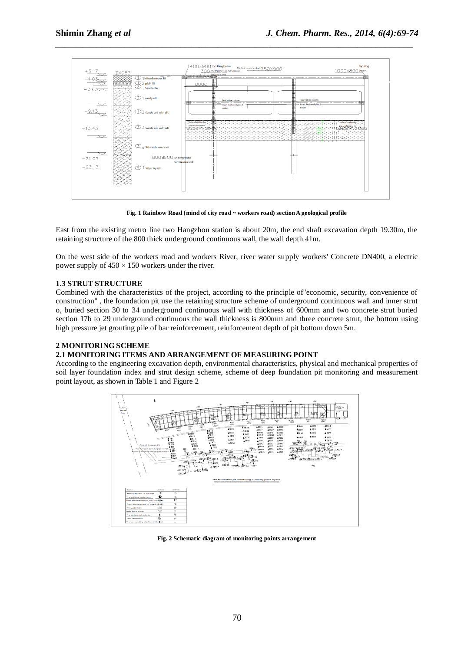

*\_\_\_\_\_\_\_\_\_\_\_\_\_\_\_\_\_\_\_\_\_\_\_\_\_\_\_\_\_\_\_\_\_\_\_\_\_\_\_\_\_\_\_\_\_\_\_\_\_\_\_\_\_\_\_\_\_\_\_\_\_\_\_\_\_\_\_\_\_\_\_\_\_\_\_\_\_*

**Fig. 1 Rainbow Road (mind of city road ~ workers road) section A geological profile**

East from the existing metro line two Hangzhou station is about 20m, the end shaft excavation depth 19.30m, the retaining structure of the 800 thick underground continuous wall, the wall depth 41m.

On the west side of the workers road and workers River, river water supply workers' Concrete DN400, a electric power supply of  $450 \times 150$  workers under the river.

## **1.3 STRUT STRUCTURE**

Combined with the characteristics of the project, according to the principle of"economic, security, convenience of construction" , the foundation pit use the retaining structure scheme of underground continuous wall and inner strut o, buried section 30 to 34 underground continuous wall with thickness of 600mm and two concrete strut buried section 17b to 29 underground continuous the wall thickness is 800mm and three concrete strut, the bottom using high pressure jet grouting pile of bar reinforcement, reinforcement depth of pit bottom down 5m.

## **2 MONITORING SCHEME**

## **2.1 MONITORING ITEMS AND ARRANGEMENT OF MEASURING POINT**

According to the engineering excavation depth, environmental characteristics, physical and mechanical properties of soil layer foundation index and strut design scheme, scheme of deep foundation pit monitoring and measurement point layout, as shown in Table 1 and Figure 2



**Fig. 2 Schematic diagram of monitoring points arrangement**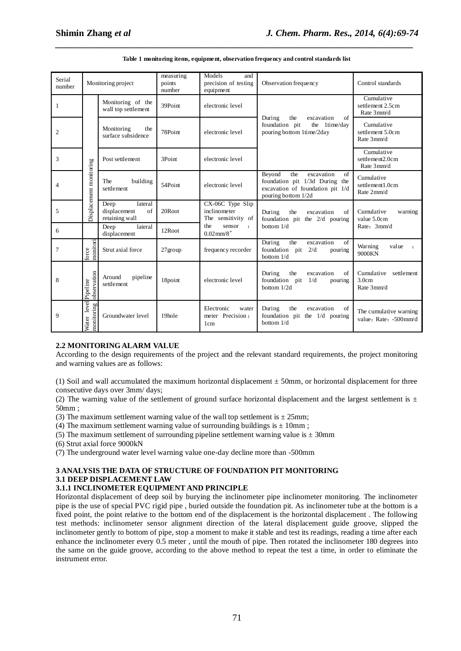| Serial<br>number | Monitoring project           |                                                         | measuring<br>points<br>number | Models<br>and<br>precision of testing<br>equipment         | Observation frequency                                                                                                          | Control standards                                       |  |
|------------------|------------------------------|---------------------------------------------------------|-------------------------------|------------------------------------------------------------|--------------------------------------------------------------------------------------------------------------------------------|---------------------------------------------------------|--|
| - 1              |                              | Monitoring of the<br>wall top settlement                | 39Point                       | electronic level                                           |                                                                                                                                | Cumulative<br>settlement 2.5cm<br>Rate 3mm/d            |  |
| $\overline{2}$   |                              | Monitoring<br>the<br>surface subsidence                 | 78Point                       | electronic level                                           | the<br>of<br>During<br>excavation<br>foundation pit<br>the 1time/day<br>pouring bottom 1time/2day                              | Cumulative<br>settlement 5.0cm<br>Rate 3mm/d            |  |
| $\overline{3}$   |                              | Post settlement                                         | 3Point                        | electronic level                                           |                                                                                                                                | Cumulative<br>settlement <sub>2.0cm</sub><br>Rate 3mm/d |  |
| $\overline{4}$   | Displacement monitoring      | The<br>building<br>settlement                           | 54Point                       | electronic level                                           | Beyond<br>the<br>excavation<br>of<br>foundation pit 1/3d During the<br>excavation of foundation pit 1/d<br>pouring bottom 1/2d | Cumulative<br>settlement1.0cm<br>Rate 2mm/d             |  |
| -5               |                              | Deep<br>lateral<br>displacement<br>of<br>retaining wall | 20Root                        | CX-06C Type Slip<br>inclinometer<br>The sensitivity of     | During<br>the<br>excavation<br>of<br>foundation pit the $2/d$ pouring                                                          | Cumulative<br>warning<br>value 5.0cm                    |  |
| 6                |                              | lateral<br>Deep<br>displacement                         | 12Root                        | the<br>sensor<br>$\cdot$<br>$0.02$ mm/8"                   | bottom $1/d$                                                                                                                   | Rate: 3mm/d                                             |  |
| $7\phantom{.0}$  | monitori<br>orce             | Strut axial force                                       | $27$ group                    | frequency recorder                                         | During<br>of<br>the<br>excavation<br>foundation pit<br>2/d<br>pouring<br>bottom 1/d                                            | Warning<br>value<br>$\cdot$<br>9000KN                   |  |
| 8                | observation<br>Pipeline      | Around<br>pipeline<br>settlement                        | 18point                       | electronic level                                           | the<br>of<br>During<br>excavation<br>foundation pit<br>1/d<br>pouring<br>bottom 1/2d                                           | Cumulative<br>settlement<br>3.0cm<br>Rate 3mm/d         |  |
| 9                | level<br>monitoring<br>Water | Groundwater level                                       | 19hole                        | Electronic<br>water<br>meter Precision:<br>1 <sub>cm</sub> | of<br>During<br>the<br>excavation<br>foundation pit the 1/d pouring<br>bottom $1/d$                                            | The cumulative warning<br>value: Rate: -500mm/d         |  |

#### **Table 1 monitoring items, equipment, observation frequency and control standards list**

*\_\_\_\_\_\_\_\_\_\_\_\_\_\_\_\_\_\_\_\_\_\_\_\_\_\_\_\_\_\_\_\_\_\_\_\_\_\_\_\_\_\_\_\_\_\_\_\_\_\_\_\_\_\_\_\_\_\_\_\_\_\_\_\_\_\_\_\_\_\_\_\_\_\_\_\_\_*

#### **2.2 MONITORING ALARM VALUE**

According to the design requirements of the project and the relevant standard requirements, the project monitoring and warning values are as follows:

(1) Soil and wall accumulated the maximum horizontal displacement  $\pm 50$ mm, or horizontal displacement for three consecutive days over 3mm/ days;

(2) The warning value of the settlement of ground surface horizontal displacement and the largest settlement is  $\pm$ 50mm ;

- (3) The maximum settlement warning value of the wall top settlement is  $\pm 25$ mm;
- (4) The maximum settlement warning value of surrounding buildings is  $\pm 10$ mm;
- (5) The maximum settlement of surrounding pipeline settlement warning value is  $\pm 30$ mm

(6) Strut axial force 9000kN

(7) The underground water level warning value one-day decline more than -500mm

## **3 ANALYSIS THE DATA OF STRUCTURE OF FOUNDATION PIT MONITORING 3.1 DEEP DISPLACEMENT LAW**

#### **3.1.1 INCLINOMETER EQUIPMENT AND PRINCIPLE**

Horizontal displacement of deep soil by burying the inclinometer pipe inclinometer monitoring. The inclinometer pipe is the use of special PVC rigid pipe , buried outside the foundation pit. As inclinometer tube at the bottom is a fixed point, the point relative to the bottom end of the displacement is the horizontal displacement . The following test methods: inclinometer sensor alignment direction of the lateral displacement guide groove, slipped the inclinometer gently to bottom of pipe, stop a moment to make it stable and test its readings, reading a time after each enhance the inclinometer every 0.5 meter , until the mouth of pipe. Then rotated the inclinometer 180 degrees into the same on the guide groove, according to the above method to repeat the test a time, in order to eliminate the instrument error.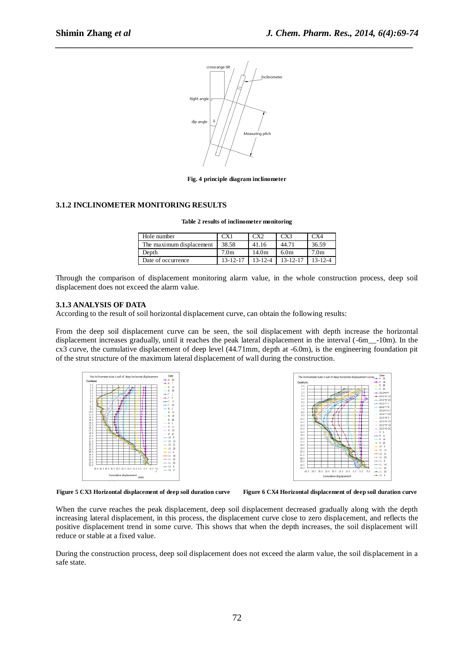

*\_\_\_\_\_\_\_\_\_\_\_\_\_\_\_\_\_\_\_\_\_\_\_\_\_\_\_\_\_\_\_\_\_\_\_\_\_\_\_\_\_\_\_\_\_\_\_\_\_\_\_\_\_\_\_\_\_\_\_\_\_\_\_\_\_\_\_\_\_\_\_\_\_\_\_\_\_*

**Fig. 4 principle diagram inclinometer**

#### **3.1.2 INCLINOMETER MONITORING RESULTS**

| Table 2 results of inclinometer monitoring |
|--------------------------------------------|
|--------------------------------------------|

| Hole number              |                | CX2           | CX <sup>3</sup>  | CX4              |
|--------------------------|----------------|---------------|------------------|------------------|
| The maximum displacement | 38.58          | 41.16         | 44.71            | 36.59            |
| Depth                    | 7.0m           | 14.0m         | 6.0 <sub>m</sub> | 7.0 <sub>m</sub> |
| Date of occurrence       | $13 - 12 - 17$ | $13 - 12 - 4$ | $13 - 12 - 17$   |                  |

Through the comparison of displacement monitoring alarm value, in the whole construction process, deep soil displacement does not exceed the alarm value.

#### **3.1.3 ANALYSIS OF DATA**

According to the result of soil horizontal displacement curve, can obtain the following results:

From the deep soil displacement curve can be seen, the soil displacement with depth increase the horizontal displacement increases gradually, until it reaches the peak lateral displacement in the interval (-6m\_\_-10m). In the cx3 curve, the cumulative displacement of deep level (44.71mm, depth at -6.0m), is the engineering foundation pit of the strut structure of the maximum lateral displacement of wall during the construction.





**Figure 5 CX3 Horizontal displacement of deep soil duration curve Figure 6 CX4 Horizontal displacement of deep soil duration curve**

When the curve reaches the peak displacement, deep soil displacement decreased gradually along with the depth increasing lateral displacement, in this process, the displacement curve close to zero displacement, and reflects the positive displacement trend in some curve. This shows that when the depth increases, the soil displacement will reduce or stable at a fixed value.

During the construction process, deep soil displacement does not exceed the alarm value, the soil displacement in a safe state.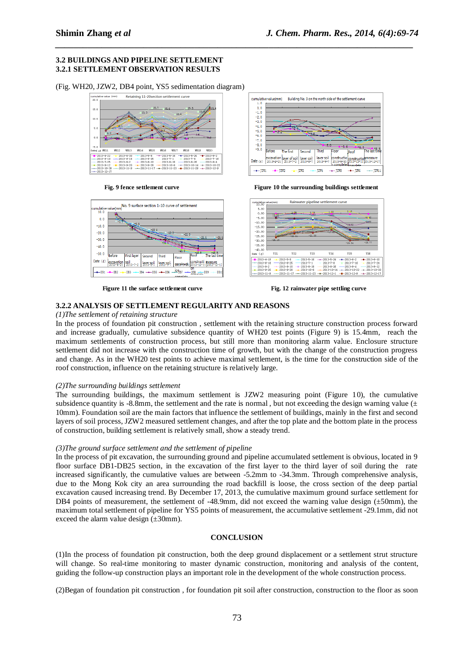#### **3.2 BUILDINGS AND PIPELINE SETTLEMENT 3.2.1 SETTLEMENT OBSERVATION RESULTS**

(Fig. WH20, JZW2, DB4 point, YS5 sedimentation diagram)









**Fig. 9 fence settlement curve Figure 10 the surrounding buildings settlement** 



**Figure 11 the surface settlement curve Fig. 12 rainwater pipe settling curve** 

#### **3.2.2 ANALYSIS OF SETTLEMENT REGULARITY AND REASONS**

#### *(1)The settlement of retaining structure*

In the process of foundation pit construction , settlement with the retaining structure construction process forward and increase gradually, cumulative subsidence quantity of WH20 test points (Figure 9) is 15.4mm, reach the maximum settlements of construction process, but still more than monitoring alarm value. Enclosure structure settlement did not increase with the construction time of growth, but with the change of the construction progress and change. As in the WH20 test points to achieve maximal settlement, is the time for the construction side of the roof construction, influence on the retaining structure is relatively large.

*\_\_\_\_\_\_\_\_\_\_\_\_\_\_\_\_\_\_\_\_\_\_\_\_\_\_\_\_\_\_\_\_\_\_\_\_\_\_\_\_\_\_\_\_\_\_\_\_\_\_\_\_\_\_\_\_\_\_\_\_\_\_\_\_\_\_\_\_\_\_\_\_\_\_\_\_\_*

#### *(2)The surrounding buildings settlement*

The surrounding buildings, the maximum settlement is JZW2 measuring point (Figure 10), the cumulative subsidence quantity is -8.8mm, the settlement and the rate is normal, but not exceeding the design warning value ( $\pm$ ) 10mm). Foundation soil are the main factors that influence the settlement of buildings, mainly in the first and second layers of soil process, JZW2 measured settlement changes, and after the top plate and the bottom plate in the process of construction, building settlement is relatively small, show a steady trend.

#### *(3)The ground surface settlement and the settlement of pipeline*

In the process of pit excavation, the surrounding ground and pipeline accumulated settlement is obvious, located in 9 floor surface DB1-DB25 section, in the excavation of the first layer to the third layer of soil during the rate increased significantly, the cumulative values are between -5.2mm to -34.3mm. Through comprehensive analysis, due to the Mong Kok city an area surrounding the road backfill is loose, the cross section of the deep partial excavation caused increasing trend. By December 17, 2013, the cumulative maximum ground surface settlement for DB4 points of measurement, the settlement of -48.9mm, did not exceed the warning value design ( $\pm$ 50mm), the maximum total settlement of pipeline for YS5 points of measurement, the accumulative settlement -29.1mm, did not exceed the alarm value design  $(\pm 30$ mm).

#### **CONCLUSION**

(1)In the process of foundation pit construction, both the deep ground displacement or a settlement strut structure will change. So real-time monitoring to master dynamic construction, monitoring and analysis of the content, guiding the follow-up construction plays an important role in the development of the whole construction process.

(2)Began of foundation pit construction , for foundation pit soil after construction, construction to the floor as soon